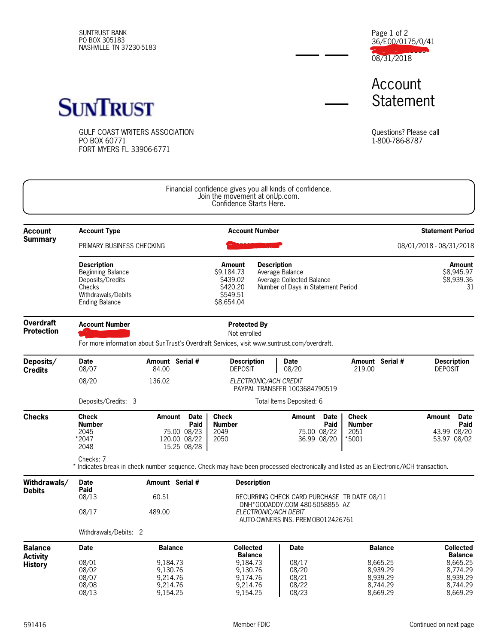SUNTRUST BANK PO BOX 305183 NASHVILLE TN 37230-5183 36/E00/0175/0/41 1000103683939 08/31/2018 Page 1 of 2

Account **Statement** 



GULF COAST WRITERS ASSOCIATION PO BOX 60771 FORT MYERS FL 33906-6771

Questions? Please call 1-800-786-8787

|                                                     |                                                                                                                                                                                                              |                                                                                                                                                                                           | Financial confidence gives you all kinds of confidence.<br>Join the movement at onUp.com.<br>Confidence Starts Here. |                                                                               |                                                          |                                                   |                                                |                                                          |                                                                            |  |  |
|-----------------------------------------------------|--------------------------------------------------------------------------------------------------------------------------------------------------------------------------------------------------------------|-------------------------------------------------------------------------------------------------------------------------------------------------------------------------------------------|----------------------------------------------------------------------------------------------------------------------|-------------------------------------------------------------------------------|----------------------------------------------------------|---------------------------------------------------|------------------------------------------------|----------------------------------------------------------|----------------------------------------------------------------------------|--|--|
| <b>Account</b>                                      | <b>Account Type</b><br><b>Account Number</b>                                                                                                                                                                 |                                                                                                                                                                                           |                                                                                                                      |                                                                               |                                                          | <b>Statement Period</b>                           |                                                |                                                          |                                                                            |  |  |
| <b>Summary</b>                                      |                                                                                                                                                                                                              | PRIMARY BUSINESS CHECKING                                                                                                                                                                 |                                                                                                                      |                                                                               |                                                          |                                                   |                                                |                                                          | 08/01/2018 - 08/31/2018                                                    |  |  |
|                                                     | <b>Description</b><br><b>Beginning Balance</b><br>Deposits/Credits<br>Checks<br>Withdrawals/Debits<br><b>Ending Balance</b>                                                                                  | <b>Amount</b><br><b>Description</b><br>\$9,184.73<br>Average Balance<br>\$439.02<br>Average Collected Balance<br>\$420.20<br>Number of Days in Statement Period<br>\$549.51<br>\$8,654.04 |                                                                                                                      |                                                                               | <b>Amount</b><br>\$8.945.97<br>\$8,939.36<br>31          |                                                   |                                                |                                                          |                                                                            |  |  |
| <b>Overdraft</b><br><b>Protection</b>               | <b>Account Number</b><br><b>Protected By</b><br>Not enrolled<br>For more information about SunTrust's Overdraft Services, visit www.suntrust.com/overdraft.                                                  |                                                                                                                                                                                           |                                                                                                                      |                                                                               |                                                          |                                                   |                                                |                                                          |                                                                            |  |  |
| Deposits/<br><b>Credits</b>                         | <b>Date</b><br>08/07                                                                                                                                                                                         | Amount Serial #<br>84.00                                                                                                                                                                  | <b>Description</b><br><b>DEPOSIT</b>                                                                                 |                                                                               | <b>Date</b><br>08/20                                     |                                                   | 219.00                                         | Amount Serial #                                          | <b>Description</b><br><b>DEPOSIT</b>                                       |  |  |
|                                                     | 08/20                                                                                                                                                                                                        | 136.02                                                                                                                                                                                    |                                                                                                                      |                                                                               | ELECTRONIC/ACH CREDIT<br>PAYPAL TRANSFER 1003684790519   |                                                   |                                                |                                                          |                                                                            |  |  |
|                                                     | Deposits/Credits: 3                                                                                                                                                                                          | Total Items Deposited: 6                                                                                                                                                                  |                                                                                                                      |                                                                               |                                                          |                                                   |                                                |                                                          |                                                                            |  |  |
| <b>Checks</b>                                       | <b>Check</b><br><b>Number</b><br>2045<br>*2047<br>2048<br>Checks: 7<br>* Indicates break in check number sequence. Check may have been processed electronically and listed as an Electronic/ACH transaction. | Date<br>Amount<br>Paid<br>75.00 08/23<br>120.00 08/22<br>15.25 08/28                                                                                                                      | <b>Check</b><br><b>Number</b><br>2049<br>2050                                                                        |                                                                               | Amount                                                   | <b>Date</b><br>Paid<br>75.00 08/22<br>36.99 08/20 | <b>Check</b><br><b>Number</b><br>2051<br>*5001 |                                                          | <b>Date</b><br>Amount<br>Paid<br>43.99 08/20<br>53.97 08/02                |  |  |
| Withdrawals/                                        | <b>Date</b>                                                                                                                                                                                                  | Amount Serial #                                                                                                                                                                           |                                                                                                                      | <b>Description</b>                                                            |                                                          |                                                   |                                                |                                                          |                                                                            |  |  |
| <b>Debits</b>                                       | Paid<br>08/13                                                                                                                                                                                                | 60.51                                                                                                                                                                                     |                                                                                                                      | RECURRING CHECK CARD PURCHASE TR DATE 08/11<br>DNH*GODADDY.COM 480-5058855 AZ |                                                          |                                                   |                                                |                                                          |                                                                            |  |  |
|                                                     | 08/17<br>Withdrawals/Debits: 2                                                                                                                                                                               | 489.00                                                                                                                                                                                    |                                                                                                                      |                                                                               | ELECTRONIC/ACH DEBIT<br>AUTO-OWNERS INS. PREMOB012426761 |                                                   |                                                |                                                          |                                                                            |  |  |
|                                                     | <b>Date</b>                                                                                                                                                                                                  | <b>Balance</b>                                                                                                                                                                            | <b>Collected</b>                                                                                                     |                                                                               | <b>Date</b>                                              |                                                   |                                                | <b>Balance</b>                                           | <b>Collected</b>                                                           |  |  |
| <b>Balance</b><br><b>Activity</b><br><b>History</b> | 08/01<br>08/02<br>08/07<br>08/08<br>08/13                                                                                                                                                                    | 9.184.73<br>9.130.76<br>9.214.76<br>9,214.76<br>9,154.25                                                                                                                                  | <b>Balance</b><br>9,184.73<br>9.130.76<br>9,174.76<br>9,214.76<br>9,154.25                                           |                                                                               | 08/17<br>08/20<br>08/21<br>08/22<br>08/23                |                                                   |                                                | 8,665.25<br>8.939.29<br>8,939.29<br>8,744.29<br>8,669.29 | <b>Balance</b><br>8,665.25<br>8.774.29<br>8,939.29<br>8,744.29<br>8,669.29 |  |  |